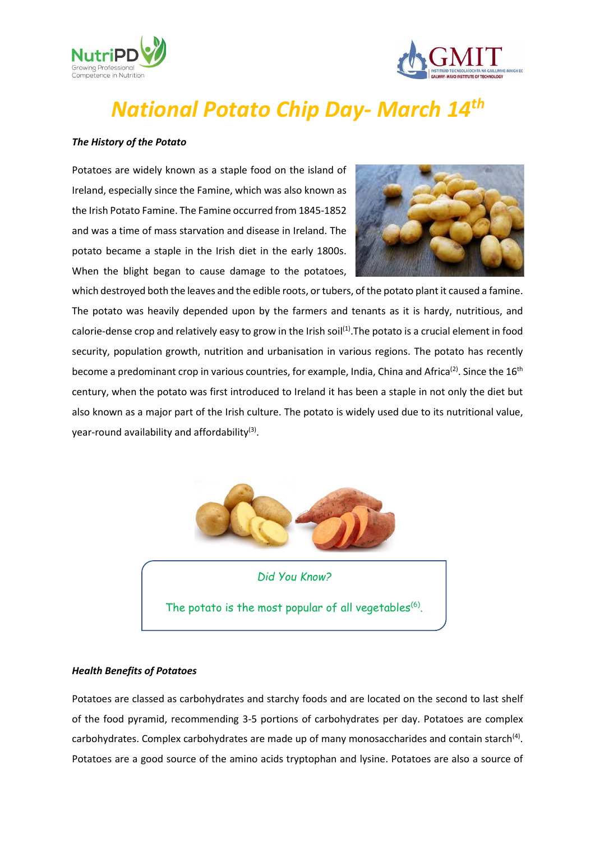



# *National Potato Chip Day- March 14th*

### *The History of the Potato*

Potatoes are widely known as a staple food on the island of Ireland, especially since the Famine, which was also known as the Irish Potato Famine. The Famine occurred from 1845-1852 and was a time of mass starvation and disease in Ireland. The potato became a staple in the Irish diet in the early 1800s. When the blight began to cause damage to the potatoes,



which destroyed both the leaves and the edible roots, or tubers, of the potato plant it caused a famine. The potato was heavily depended upon by the farmers and tenants as it is hardy, nutritious, and calorie-dense crop and relatively easy to grow in the Irish soil<sup>(1)</sup>. The potato is a crucial element in food security, population growth, nutrition and urbanisation in various regions. The potato has recently become a predominant crop in various countries, for example, India, China and Africa<sup>(2)</sup>. Since the 16<sup>th</sup> century, when the potato was first introduced to Ireland it has been a staple in not only the diet but also known as a major part of the Irish culture. The potato is widely used due to its nutritional value, year-round availability and affordability<sup>(3)</sup>.



*Did You Know?*

The potato is the most popular of all vegetables $<sup>(6)</sup>$ .</sup>

### *Health Benefits of Potatoes*

Potatoes are classed as carbohydrates and starchy foods and are located on the second to last shelf of the food pyramid, recommending 3-5 portions of carbohydrates per day. Potatoes are complex carbohydrates. Complex carbohydrates are made up of many monosaccharides and contain starch<sup>(4)</sup>. Potatoes are a good source of the amino acids tryptophan and lysine. Potatoes are also a source of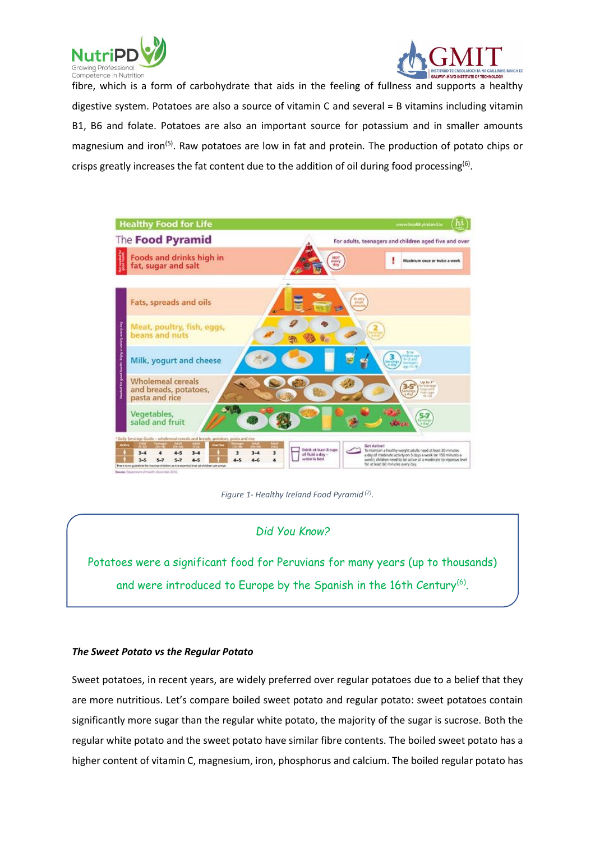



fibre, which is a form of carbohydrate that aids in the feeling of fullness and supports a healthy digestive system. Potatoes are also a source of vitamin C and several = B vitamins including vitamin B1, B6 and folate. Potatoes are also an important source for potassium and in smaller amounts magnesium and iron<sup>(5)</sup>. Raw potatoes are low in fat and protein. The production of potato chips or crisps greatly increases the fat content due to the addition of oil during food processing<sup>(6)</sup>.



*Figure 1- Healthy Ireland Food Pyramid (7) .*

# *Did You Know?*

Potatoes were a significant food for Peruvians for many years (up to thousands) and were introduced to Europe by the Spanish in the 16th Century $^{(6)}$ .

# *The Sweet Potato vs the Regular Potato*

Sweet potatoes, in recent years, are widely preferred over regular potatoes due to a belief that they are more nutritious. Let's compare boiled sweet potato and regular potato: sweet potatoes contain significantly more sugar than the regular white potato, the majority of the sugar is sucrose. Both the regular white potato and the sweet potato have similar fibre contents. The boiled sweet potato has a higher content of vitamin C, magnesium, iron, phosphorus and calcium. The boiled regular potato has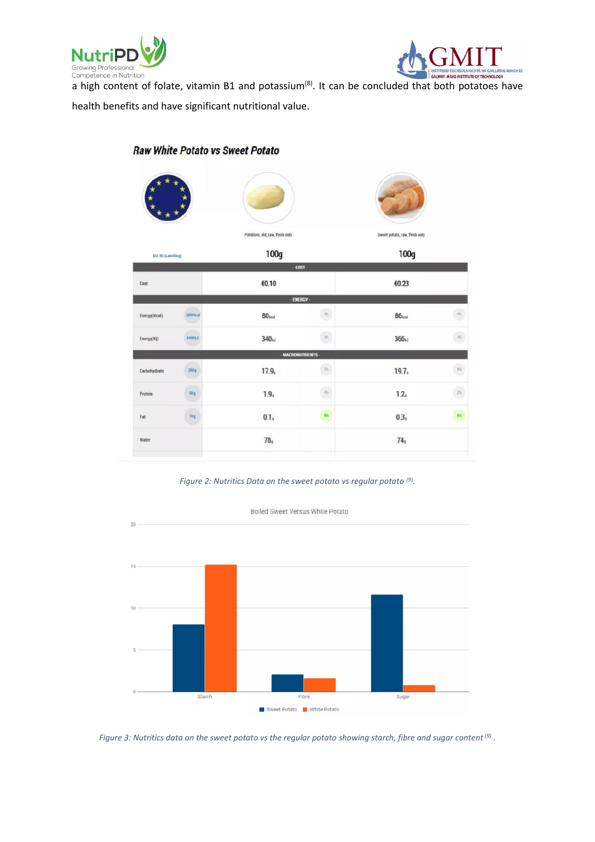



a high content of folate, vitamin B1 and potassium<sup>(8)</sup>. It can be concluded that both potatoes have

health benefits and have significant nutritional value.

| EU: RI (Labeling) |                           | Potatoes, old, raw, flesh only<br>100g |                          | Sweet potato, raw, flesh only<br>100g |                    |
|-------------------|---------------------------|----------------------------------------|--------------------------|---------------------------------------|--------------------|
|                   |                           |                                        |                          |                                       |                    |
| Cost              |                           | €0.10                                  | - ENERGY -               | €0.23                                 |                    |
| Energy(Kcal)      | 2000 kost                 | 80 <sub>heat</sub>                     | $\Omega$                 | 86 <sub>test</sub>                    | $\Gamma_{\rm h}$   |
| Energy(Kj)        | <b>STARTING</b><br>8400kJ | 340 <sub>hJ</sub>                      | $\sigma_{\rm h}$         | $366\omega$                           | $\sqrt{s}$         |
|                   |                           |                                        | <b>MACRONUTRIENTS</b>    |                                       |                    |
| Carbohydrate      | 260g                      | 17.9 <sub>9</sub>                      | $\overline{\phantom{a}}$ | 19.7 <sub>9</sub>                     | $\overline{\nu}_1$ |
| Protein           | 50g                       | 1.9,                                   | $\Gamma_0$               | 1.2 <sub>9</sub>                      | $\frac{1}{2}$      |
| Fat               | 70g                       | 0.1 <sub>s</sub>                       | $\eta\gamma$             | 0.3 <sub>1</sub>                      | $0\%$              |
| Water             |                           | 78 <sub>9</sub>                        |                          | 74,                                   |                    |

# **Raw White Potato vs Sweet Potato**





*Figure 3: Nutritics data on the sweet potato vs the regular potato showing starch, fibre and sugar content(9) .*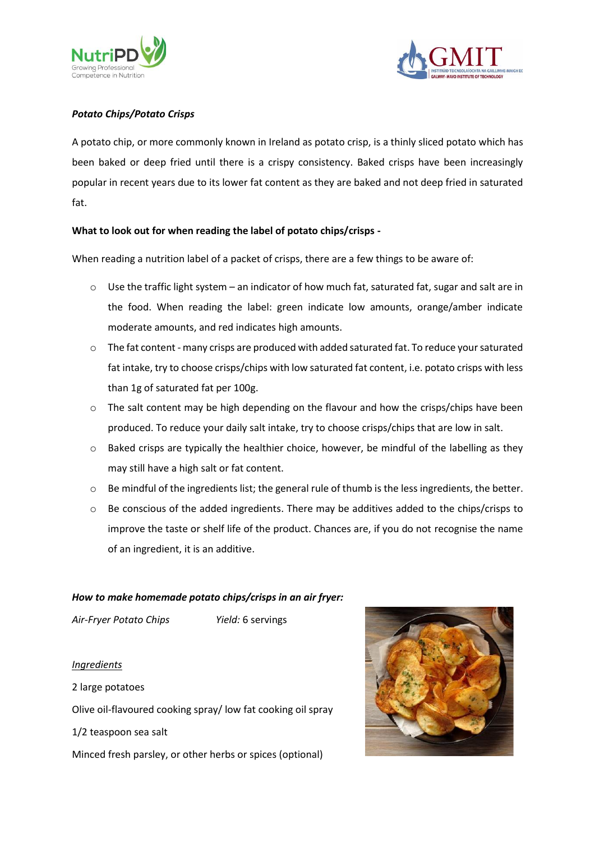



# *Potato Chips/Potato Crisps*

A potato chip, or more commonly known in Ireland as potato crisp, is a thinly sliced potato which has been baked or deep fried until there is a crispy consistency. Baked crisps have been increasingly popular in recent years due to its lower fat content as they are baked and not deep fried in saturated fat.

# **What to look out for when reading the label of potato chips/crisps -**

When reading a nutrition label of a packet of crisps, there are a few things to be aware of:

- o Use the traffic light system an indicator of how much fat, saturated fat, sugar and salt are in the food. When reading the label: green indicate low amounts, orange/amber indicate moderate amounts, and red indicates high amounts.
- $\circ$  The fat content many crisps are produced with added saturated fat. To reduce your saturated fat intake, try to choose crisps/chips with low saturated fat content, i.e. potato crisps with less than 1g of saturated fat per 100g.
- o The salt content may be high depending on the flavour and how the crisps/chips have been produced. To reduce your daily salt intake, try to choose crisps/chips that are low in salt.
- $\circ$  Baked crisps are typically the healthier choice, however, be mindful of the labelling as they may still have a high salt or fat content.
- $\circ$  Be mindful of the ingredients list; the general rule of thumb is the less ingredients, the better.
- $\circ$  Be conscious of the added ingredients. There may be additives added to the chips/crisps to improve the taste or shelf life of the product. Chances are, if you do not recognise the name of an ingredient, it is an additive.

### *How to make homemade potato chips/crisps in an air fryer:*

*Air-Fryer Potato Chips Yield:* 6 servings

*Ingredients* 2 large potatoes Olive oil-flavoured cooking spray/ low fat cooking oil spray 1/2 teaspoon sea salt Minced fresh parsley, or other herbs or spices (optional)